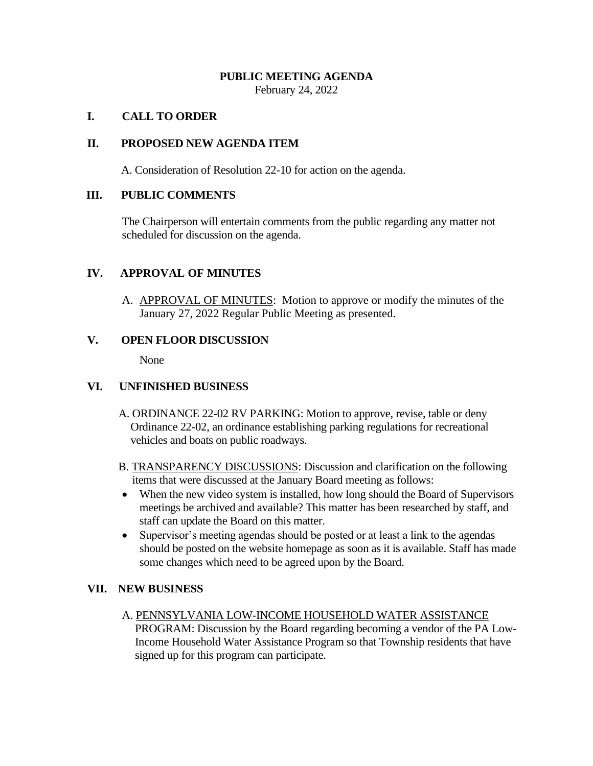## **PUBLIC MEETING AGENDA**

February 24, 2022

## **I. CALL TO ORDER**

#### **II. PROPOSED NEW AGENDA ITEM**

A. Consideration of Resolution 22-10 for action on the agenda.

### **III. PUBLIC COMMENTS**

The Chairperson will entertain comments from the public regarding any matter not scheduled for discussion on the agenda.

### **IV. APPROVAL OF MINUTES**

A. APPROVAL OF MINUTES: Motion to approve or modify the minutes of the January 27, 2022 Regular Public Meeting as presented.

### **V. OPEN FLOOR DISCUSSION**

None

## **VI. UNFINISHED BUSINESS**

- A. ORDINANCE 22-02 RV PARKING: Motion to approve, revise, table or deny Ordinance 22-02, an ordinance establishing parking regulations for recreational vehicles and boats on public roadways.
- B. TRANSPARENCY DISCUSSIONS: Discussion and clarification on the following items that were discussed at the January Board meeting as follows:
- When the new video system is installed, how long should the Board of Supervisors meetings be archived and available? This matter has been researched by staff, and staff can update the Board on this matter.
- Supervisor's meeting agendas should be posted or at least a link to the agendas should be posted on the website homepage as soon as it is available. Staff has made some changes which need to be agreed upon by the Board.

## **VII. NEW BUSINESS**

A. PENNSYLVANIA LOW-INCOME HOUSEHOLD WATER ASSISTANCE PROGRAM: Discussion by the Board regarding becoming a vendor of the PA Low- Income Household Water Assistance Program so that Township residents that have signed up for this program can participate.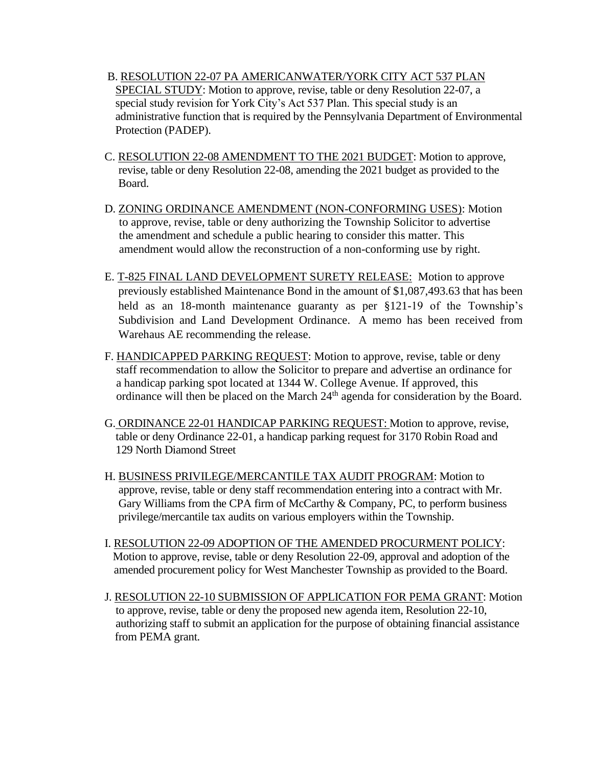- B. RESOLUTION 22-07 PA AMERICANWATER/YORK CITY ACT 537 PLAN SPECIAL STUDY: Motion to approve, revise, table or deny Resolution 22-07, a special study revision for York City's Act 537 Plan. This special study is an administrative function that is required by the Pennsylvania Department of Environmental Protection (PADEP).
- C. RESOLUTION 22-08 AMENDMENT TO THE 2021 BUDGET: Motion to approve, revise, table or deny Resolution 22-08, amending the 2021 budget as provided to the Board.
- D. ZONING ORDINANCE AMENDMENT (NON-CONFORMING USES): Motion to approve, revise, table or deny authorizing the Township Solicitor to advertise the amendment and schedule a public hearing to consider this matter. This amendment would allow the reconstruction of a non-conforming use by right.
- E. T-825 FINAL LAND DEVELOPMENT SURETY RELEASE: Motion to approve previously established Maintenance Bond in the amount of \$1,087,493.63 that has been held as an 18-month maintenance guaranty as per §121-19 of the Township's Subdivision and Land Development Ordinance. A memo has been received from Warehaus AE recommending the release.
- F. HANDICAPPED PARKING REQUEST: Motion to approve, revise, table or deny staff recommendation to allow the Solicitor to prepare and advertise an ordinance for a handicap parking spot located at 1344 W. College Avenue. If approved, this ordinance will then be placed on the March 24<sup>th</sup> agenda for consideration by the Board.
- G. ORDINANCE 22-01 HANDICAP PARKING REQUEST: Motion to approve, revise, table or deny Ordinance 22-01, a handicap parking request for 3170 Robin Road and 129 North Diamond Street
- H. BUSINESS PRIVILEGE/MERCANTILE TAX AUDIT PROGRAM: Motion to approve, revise, table or deny staff recommendation entering into a contract with Mr. Gary Williams from the CPA firm of McCarthy & Company, PC, to perform business privilege/mercantile tax audits on various employers within the Township.
- I. RESOLUTION 22-09 ADOPTION OF THE AMENDED PROCURMENT POLICY: Motion to approve, revise, table or deny Resolution 22-09, approval and adoption of the amended procurement policy for West Manchester Township as provided to the Board.
- J. RESOLUTION 22-10 SUBMISSION OF APPLICATION FOR PEMA GRANT: Motion to approve, revise, table or deny the proposed new agenda item, Resolution 22-10, authorizing staff to submit an application for the purpose of obtaining financial assistance from PEMA grant.